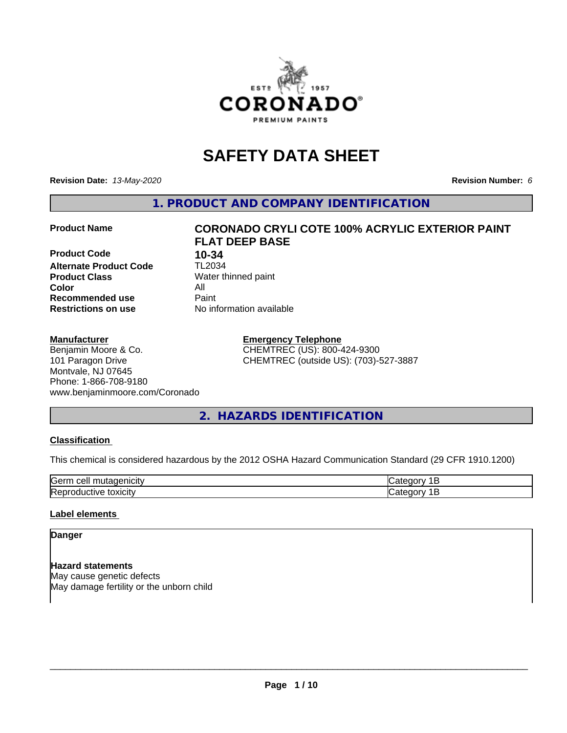

# **SAFETY DATA SHEET**

**Revision Date:** *13-May-2020* **Revision Number:** *6*

**1. PRODUCT AND COMPANY IDENTIFICATION**

**Product Code 10-34**<br>**Alternate Product Code 11-2034 Alternate Product Code Product Class** Water thinned paint<br> **Color** All **Color** All **Recommended use Caint Restrictions on use** No information available

# **Product Name CORONADO CRYLI COTE 100% ACRYLIC EXTERIOR PAINT FLAT DEEP BASE**

#### **Manufacturer**

Benjamin Moore & Co. 101 Paragon Drive Montvale, NJ 07645 Phone: 1-866-708-9180 www.benjaminmoore.com/Coronado **Emergency Telephone** CHEMTREC (US): 800-424-9300 CHEMTREC (outside US): (703)-527-3887

# **2. HAZARDS IDENTIFICATION**

# **Classification**

This chemical is considered hazardous by the 2012 OSHA Hazard Communication Standard (29 CFR 1910.1200)

| lGeri<br>ווב              |  |
|---------------------------|--|
| r<br>脉<br>וי<br>.<br>יישו |  |

# **Label elements**

# **Danger**

**Hazard statements** May cause genetic defects May damage fertility or the unborn child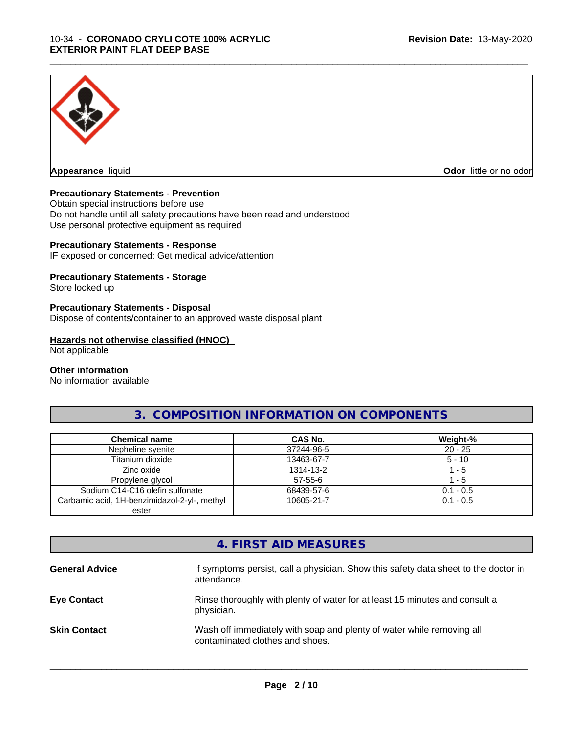

**Appearance** liquid **Odor in the original of the original of the original of the original of the original of the original of the original of the original of the original of the original of the original of the original of t** 

# **Precautionary Statements - Prevention**

Obtain special instructions before use Do not handle until all safety precautions have been read and understood Use personal protective equipment as required

# **Precautionary Statements - Response**

IF exposed or concerned: Get medical advice/attention

# **Precautionary Statements - Storage**

Store locked up

# **Precautionary Statements - Disposal**

Dispose of contents/container to an approved waste disposal plant

#### **Hazards not otherwise classified (HNOC)**

Not applicable

#### **Other information**

No information available

# **3. COMPOSITION INFORMATION ON COMPONENTS**

\_\_\_\_\_\_\_\_\_\_\_\_\_\_\_\_\_\_\_\_\_\_\_\_\_\_\_\_\_\_\_\_\_\_\_\_\_\_\_\_\_\_\_\_\_\_\_\_\_\_\_\_\_\_\_\_\_\_\_\_\_\_\_\_\_\_\_\_\_\_\_\_\_\_\_\_\_\_\_\_\_\_\_\_\_\_\_\_\_\_\_\_\_

| <b>Chemical name</b>                         | <b>CAS No.</b> | Weight-%    |
|----------------------------------------------|----------------|-------------|
| Nepheline syenite                            | 37244-96-5     | $20 - 25$   |
| Titanium dioxide                             | 13463-67-7     | $5 - 10$    |
| Zinc oxide                                   | 1314-13-2      | - 5         |
| Propylene glycol                             | $57 - 55 - 6$  | $-5$        |
| Sodium C14-C16 olefin sulfonate              | 68439-57-6     | $0.1 - 0.5$ |
| Carbamic acid, 1H-benzimidazol-2-yl-, methyl | 10605-21-7     | $0.1 - 0.5$ |
| ester                                        |                |             |

# **4. FIRST AID MEASURES**

| <b>General Advice</b> | If symptoms persist, call a physician. Show this safety data sheet to the doctor in<br>attendance.       |
|-----------------------|----------------------------------------------------------------------------------------------------------|
| <b>Eye Contact</b>    | Rinse thoroughly with plenty of water for at least 15 minutes and consult a<br>physician.                |
| <b>Skin Contact</b>   | Wash off immediately with soap and plenty of water while removing all<br>contaminated clothes and shoes. |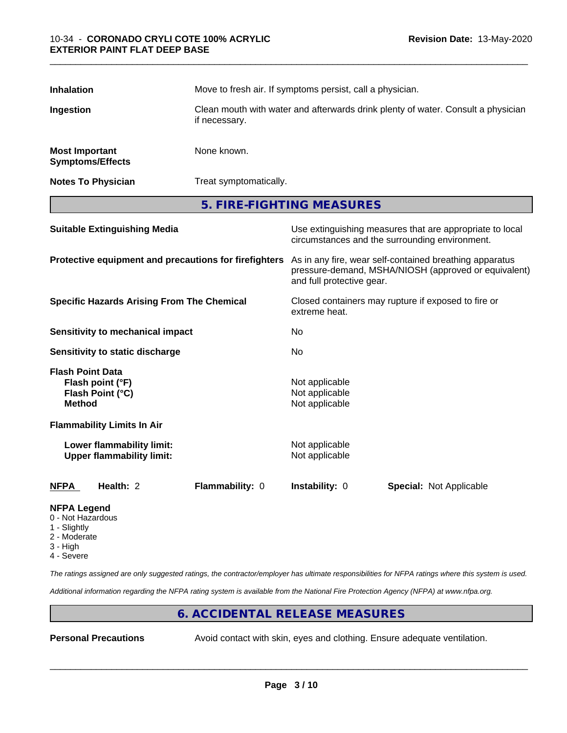| <b>Inhalation</b>                                          |                                                               | Move to fresh air. If symptoms persist, call a physician.                                                                                    |                                                    |                                                                                                            |  |
|------------------------------------------------------------|---------------------------------------------------------------|----------------------------------------------------------------------------------------------------------------------------------------------|----------------------------------------------------|------------------------------------------------------------------------------------------------------------|--|
| Ingestion                                                  |                                                               | Clean mouth with water and afterwards drink plenty of water. Consult a physician<br>if necessary.                                            |                                                    |                                                                                                            |  |
| <b>Most Important</b><br><b>Symptoms/Effects</b>           |                                                               | None known.                                                                                                                                  |                                                    |                                                                                                            |  |
| <b>Notes To Physician</b>                                  |                                                               | Treat symptomatically.                                                                                                                       |                                                    |                                                                                                            |  |
|                                                            |                                                               |                                                                                                                                              | 5. FIRE-FIGHTING MEASURES                          |                                                                                                            |  |
|                                                            | <b>Suitable Extinguishing Media</b>                           |                                                                                                                                              |                                                    | Use extinguishing measures that are appropriate to local<br>circumstances and the surrounding environment. |  |
| Protective equipment and precautions for firefighters      |                                                               | As in any fire, wear self-contained breathing apparatus<br>pressure-demand, MSHA/NIOSH (approved or equivalent)<br>and full protective gear. |                                                    |                                                                                                            |  |
| <b>Specific Hazards Arising From The Chemical</b>          |                                                               | Closed containers may rupture if exposed to fire or<br>extreme heat.                                                                         |                                                    |                                                                                                            |  |
| <b>Sensitivity to mechanical impact</b>                    |                                                               | No                                                                                                                                           |                                                    |                                                                                                            |  |
|                                                            | Sensitivity to static discharge                               |                                                                                                                                              | No                                                 |                                                                                                            |  |
| <b>Flash Point Data</b><br><b>Method</b>                   | Flash point (°F)<br>Flash Point (°C)                          |                                                                                                                                              | Not applicable<br>Not applicable<br>Not applicable |                                                                                                            |  |
|                                                            | <b>Flammability Limits In Air</b>                             |                                                                                                                                              |                                                    |                                                                                                            |  |
|                                                            | Lower flammability limit:<br><b>Upper flammability limit:</b> |                                                                                                                                              | Not applicable<br>Not applicable                   |                                                                                                            |  |
| <b>NFPA</b>                                                | Health: 2                                                     | Flammability: 0                                                                                                                              | Instability: 0                                     | Special: Not Applicable                                                                                    |  |
| <b>NFPA Legend</b><br>0 - Not Hazardous<br><b>Clighthe</b> |                                                               |                                                                                                                                              |                                                    |                                                                                                            |  |

- Slightly
- 2 Moderate
- 3 High
- 4 Severe

*The ratings assigned are only suggested ratings, the contractor/employer has ultimate responsibilities for NFPA ratings where this system is used.*

*Additional information regarding the NFPA rating system is available from the National Fire Protection Agency (NFPA) at www.nfpa.org.*

# **6. ACCIDENTAL RELEASE MEASURES**

**Personal Precautions** Avoid contact with skin, eyes and clothing. Ensure adequate ventilation.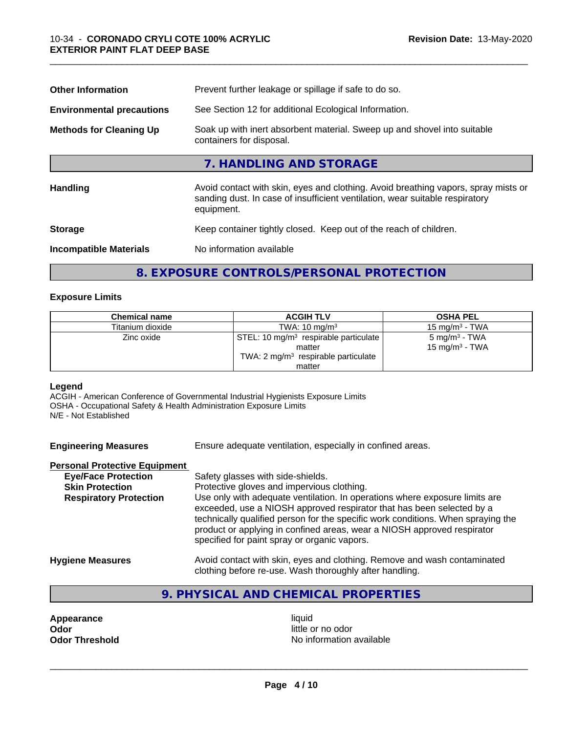| Prevent further leakage or spillage if safe to do so.                                                                                                                            |  |  |
|----------------------------------------------------------------------------------------------------------------------------------------------------------------------------------|--|--|
| See Section 12 for additional Ecological Information.                                                                                                                            |  |  |
| Soak up with inert absorbent material. Sweep up and shovel into suitable<br>containers for disposal.                                                                             |  |  |
| 7. HANDLING AND STORAGE                                                                                                                                                          |  |  |
| Avoid contact with skin, eyes and clothing. Avoid breathing vapors, spray mists or<br>sanding dust. In case of insufficient ventilation, wear suitable respiratory<br>equipment. |  |  |
| Keep container tightly closed. Keep out of the reach of children.                                                                                                                |  |  |
| No information available                                                                                                                                                         |  |  |
|                                                                                                                                                                                  |  |  |

# **8. EXPOSURE CONTROLS/PERSONAL PROTECTION**

# **Exposure Limits**

| <b>Chemical name</b> | <b>ACGIH TLV</b>                                                                                              | <b>OSHA PEL</b>                                         |
|----------------------|---------------------------------------------------------------------------------------------------------------|---------------------------------------------------------|
| Titanium dioxide     | $15 \text{ mg/m}^3$ - TWA<br>TWA: $10 \text{ mg/m}^3$                                                         |                                                         |
| Zinc oxide           | STEL: 10 mg/m <sup>3</sup> respirable particulate<br>matter<br>TWA: $2 \text{ mg/m}^3$ respirable particulate | 5 mg/m <sup>3</sup> - TWA<br>15 mg/m <sup>3</sup> - TWA |
|                      | matter                                                                                                        |                                                         |

### **Legend**

ACGIH - American Conference of Governmental Industrial Hygienists Exposure Limits OSHA - Occupational Safety & Health Administration Exposure Limits N/E - Not Established

| <b>Engineering Measures</b> | Ensure adequate ventilation, especially in confined areas. |
|-----------------------------|------------------------------------------------------------|
|                             |                                                            |

# **Personal Protective Equipment**

| <b>Eye/Face Protection</b>    | Safety glasses with side-shields.                                                                                                                                                                                                                                                                                                                                   |  |  |  |
|-------------------------------|---------------------------------------------------------------------------------------------------------------------------------------------------------------------------------------------------------------------------------------------------------------------------------------------------------------------------------------------------------------------|--|--|--|
| <b>Skin Protection</b>        | Protective gloves and impervious clothing.                                                                                                                                                                                                                                                                                                                          |  |  |  |
| <b>Respiratory Protection</b> | Use only with adequate ventilation. In operations where exposure limits are<br>exceeded, use a NIOSH approved respirator that has been selected by a<br>technically qualified person for the specific work conditions. When spraying the<br>product or applying in confined areas, wear a NIOSH approved respirator<br>specified for paint spray or organic vapors. |  |  |  |
| llendaria Maaannaa            | المفصولوم ومصطومين الموم ورزموه والمواطنة المواطور ومزرم بوارام والأرزر لمملومه المزوري                                                                                                                                                                                                                                                                             |  |  |  |

- **Hygiene Measures** Avoid contact with skin, eyes and clothing. Remove and wash contaminated clothing before re-use. Wash thoroughly after handling.
	- **9. PHYSICAL AND CHEMICAL PROPERTIES**

**Appearance** liquid **and a limitation of the contract of the contract of the contract of the contract of the contract of the contract of the contract of the contract of the contract of the contract of the contract of the c Odor**<br> **Odor Threshold**<br> **Odor Threshold CODOR CODOR CODOR CODOR CODOR CODOR CODOR CODOR CODOR CODOR CODOR** 

**No information available**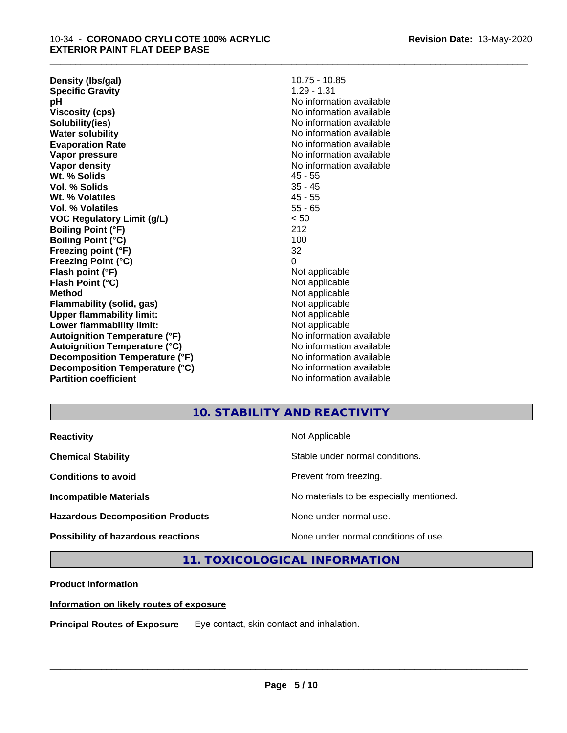**Density (lbs/gal)** 10.75 - 10.85<br> **Specific Gravity** 1.29 - 1.31 **Specific Gravity pH** No information available **Viscosity (cps)** No information available **Solubility(ies)** No information available **Water solubility** No information available **Evaporation Rate** Note 2008 and 2009 No information available **Vapor pressure** No information available in the North American Monte available in the North American available **Vapor density** No information available values and values of  $\alpha$  No information available **Wt. % Solids** 45 - 55 **Vol. % Solids** 35 - 45 **Wt. % Volatiles** 45 - 55 **Vol. % Volatiles** 55 - 65 **VOC Regulatory Limit (g/L)** < 50 **Boiling Point (°F)** 212 **Boiling Point (°C)** 100 **Freezing point (°F)** 32 **Freezing Point (°C)** 0 **Flash point (°F)**<br> **Flash Point (°C)**<br> **Flash Point (°C)**<br> **Not** applicable **Flash Point (°C) Method** Not applicable **Flammability (solid, gas)** Not applicable **Upper flammability limit:**<br> **Lower flammability limit:**<br>
Not applicable<br>
Not applicable **Lower flammability limit:**<br> **Autoignition Temperature (°F)** Not applicable havailable available **Autoignition Temperature (°F)**<br> **Autoignition Temperature (°C)** No information available **Autoignition Temperature (°C) Decomposition Temperature (°F)** No information available **Decomposition Temperature (°C)**<br> **Partition coefficient**<br> **Partition coefficient**<br> **No** information available

**No information available** 

\_\_\_\_\_\_\_\_\_\_\_\_\_\_\_\_\_\_\_\_\_\_\_\_\_\_\_\_\_\_\_\_\_\_\_\_\_\_\_\_\_\_\_\_\_\_\_\_\_\_\_\_\_\_\_\_\_\_\_\_\_\_\_\_\_\_\_\_\_\_\_\_\_\_\_\_\_\_\_\_\_\_\_\_\_\_\_\_\_\_\_\_\_

# **10. STABILITY AND REACTIVITY**

| <b>Reactivity</b>                       | Not Applicable                           |
|-----------------------------------------|------------------------------------------|
| <b>Chemical Stability</b>               | Stable under normal conditions.          |
| <b>Conditions to avoid</b>              | Prevent from freezing.                   |
| <b>Incompatible Materials</b>           | No materials to be especially mentioned. |
| <b>Hazardous Decomposition Products</b> | None under normal use.                   |
| Possibility of hazardous reactions      | None under normal conditions of use.     |

**11. TOXICOLOGICAL INFORMATION**

# **Product Information**

# **Information on likely routes of exposure**

**Principal Routes of Exposure** Eye contact, skin contact and inhalation.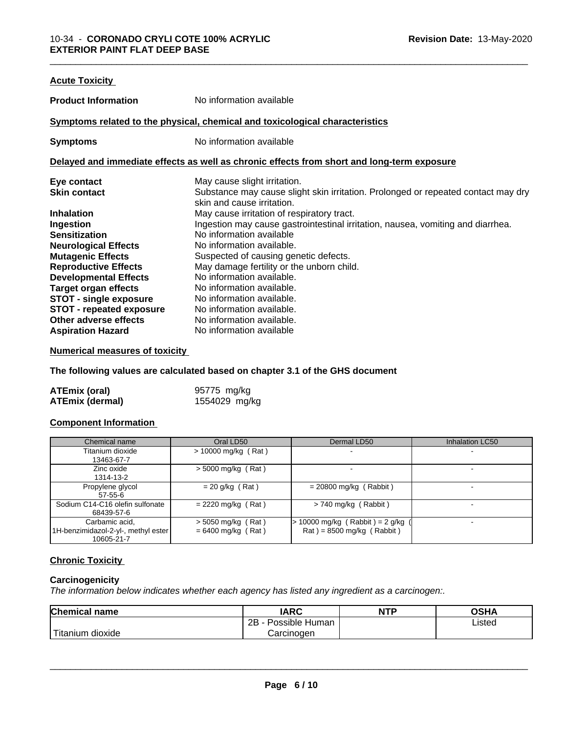| <b>Acute Toxicity</b>           |                                                                                            |  |  |
|---------------------------------|--------------------------------------------------------------------------------------------|--|--|
| <b>Product Information</b>      | No information available                                                                   |  |  |
|                                 | Symptoms related to the physical, chemical and toxicological characteristics               |  |  |
| <b>Symptoms</b>                 | No information available                                                                   |  |  |
|                                 | Delayed and immediate effects as well as chronic effects from short and long-term exposure |  |  |
| Eye contact                     | May cause slight irritation.                                                               |  |  |
| <b>Skin contact</b>             | Substance may cause slight skin irritation. Prolonged or repeated contact may dry          |  |  |
|                                 | skin and cause irritation.                                                                 |  |  |
| <b>Inhalation</b>               | May cause irritation of respiratory tract.                                                 |  |  |
| Ingestion                       | Ingestion may cause gastrointestinal irritation, nausea, vomiting and diarrhea.            |  |  |
| <b>Sensitization</b>            | No information available                                                                   |  |  |
| <b>Neurological Effects</b>     | No information available.                                                                  |  |  |
| <b>Mutagenic Effects</b>        | Suspected of causing genetic defects.                                                      |  |  |
| <b>Reproductive Effects</b>     | May damage fertility or the unborn child.                                                  |  |  |
| <b>Developmental Effects</b>    | No information available.                                                                  |  |  |
| <b>Target organ effects</b>     | No information available.                                                                  |  |  |
| STOT - single exposure          | No information available.                                                                  |  |  |
| <b>STOT - repeated exposure</b> | No information available.                                                                  |  |  |
| Other adverse effects           | No information available.                                                                  |  |  |
| <b>Aspiration Hazard</b>        | No information available                                                                   |  |  |
|                                 |                                                                                            |  |  |

# **Numerical measures of toxicity**

**The following values are calculated based on chapter 3.1 of the GHS document**

| ATEmix (oral)          | 95775 mg/kg   |
|------------------------|---------------|
| <b>ATEmix (dermal)</b> | 1554029 mg/kg |

# **Component Information**

| Chemical name                                                       | Oral LD50                                    | Dermal LD50                                                        | Inhalation LC50 |
|---------------------------------------------------------------------|----------------------------------------------|--------------------------------------------------------------------|-----------------|
| Titanium dioxide<br>13463-67-7                                      | $> 10000$ mg/kg (Rat)                        |                                                                    |                 |
| Zinc oxide<br>1314-13-2                                             | $>$ 5000 mg/kg (Rat)                         |                                                                    |                 |
| Propylene glycol<br>$57 - 55 - 6$                                   | $= 20$ g/kg (Rat)                            | $= 20800$ mg/kg (Rabbit)                                           |                 |
| Sodium C14-C16 olefin sulfonate<br>68439-57-6                       | $= 2220$ mg/kg (Rat)                         | $> 740$ mg/kg (Rabbit)                                             | -               |
| Carbamic acid,<br>1H-benzimidazol-2-yl-, methyl ester<br>10605-21-7 | $>$ 5050 mg/kg (Rat)<br>$= 6400$ mg/kg (Rat) | $> 10000$ mg/kg (Rabbit) = 2 g/kg (<br>$Rat$ = 8500 mg/kg (Rabbit) |                 |

# **Chronic Toxicity**

# **Carcinogenicity**

*The information below indicateswhether each agency has listed any ingredient as a carcinogen:.*

| <b>Chemical name</b>                                                                                                                                                                                                                                         | <b>IARC</b>                    | <b>NTP</b> | OSHA   |  |
|--------------------------------------------------------------------------------------------------------------------------------------------------------------------------------------------------------------------------------------------------------------|--------------------------------|------------|--------|--|
|                                                                                                                                                                                                                                                              | . .<br>2B<br>Possible<br>Human |            | Listed |  |
| <b>The Contract of the Contract of the Contract of the Contract of The Contract of The Contract of The Contract of The Contract of The Contract of The Contract of The Contract of The Contract of The Contract of The Contract </b><br>dioxide<br>l ıtanıum | Carcinogen                     |            |        |  |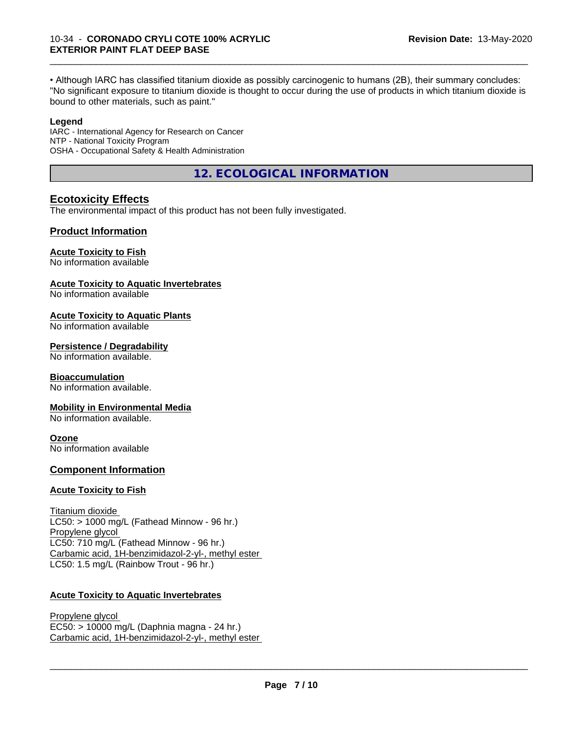• Although IARC has classified titanium dioxide as possibly carcinogenic to humans (2B), their summary concludes: "No significant exposure to titanium dioxide is thought to occur during the use of products in which titanium dioxide is bound to other materials, such as paint."

\_\_\_\_\_\_\_\_\_\_\_\_\_\_\_\_\_\_\_\_\_\_\_\_\_\_\_\_\_\_\_\_\_\_\_\_\_\_\_\_\_\_\_\_\_\_\_\_\_\_\_\_\_\_\_\_\_\_\_\_\_\_\_\_\_\_\_\_\_\_\_\_\_\_\_\_\_\_\_\_\_\_\_\_\_\_\_\_\_\_\_\_\_

#### **Legend**

IARC - International Agency for Research on Cancer NTP - National Toxicity Program OSHA - Occupational Safety & Health Administration

**12. ECOLOGICAL INFORMATION**

# **Ecotoxicity Effects**

The environmental impact of this product has not been fully investigated.

# **Product Information**

#### **Acute Toxicity to Fish**

No information available

#### **Acute Toxicity to Aquatic Invertebrates**

No information available

#### **Acute Toxicity to Aquatic Plants**

No information available

#### **Persistence / Degradability**

No information available.

# **Bioaccumulation**

No information available.

# **Mobility in Environmental Media**

No information available.

# **Ozone**

No information available

# **Component Information**

# **Acute Toxicity to Fish**

Titanium dioxide  $LC50:$  > 1000 mg/L (Fathead Minnow - 96 hr.) Propylene glycol LC50: 710 mg/L (Fathead Minnow - 96 hr.) Carbamic acid, 1H-benzimidazol-2-yl-, methyl ester LC50: 1.5 mg/L (Rainbow Trout - 96 hr.)

# **Acute Toxicity to Aquatic Invertebrates**

Propylene glycol EC50: > 10000 mg/L (Daphnia magna - 24 hr.) Carbamic acid, 1H-benzimidazol-2-yl-, methyl ester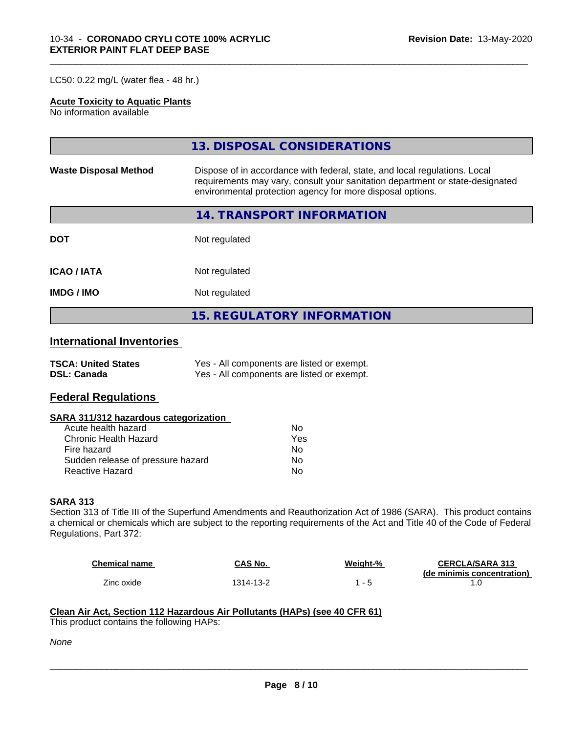LC50: 0.22 mg/L (water flea - 48 hr.)

# **Acute Toxicity to Aquatic Plants**

No information available

|                              | 13. DISPOSAL CONSIDERATIONS                                                                                                                                                                                               |
|------------------------------|---------------------------------------------------------------------------------------------------------------------------------------------------------------------------------------------------------------------------|
| <b>Waste Disposal Method</b> | Dispose of in accordance with federal, state, and local regulations. Local<br>requirements may vary, consult your sanitation department or state-designated<br>environmental protection agency for more disposal options. |
|                              | <b>14. TRANSPORT INFORMATION</b>                                                                                                                                                                                          |
| <b>DOT</b>                   | Not regulated                                                                                                                                                                                                             |
| <b>ICAO/IATA</b>             | Not regulated                                                                                                                                                                                                             |
| <b>IMDG/IMO</b>              | Not regulated                                                                                                                                                                                                             |
|                              | <b>15. REGULATORY INFORMATION</b>                                                                                                                                                                                         |

\_\_\_\_\_\_\_\_\_\_\_\_\_\_\_\_\_\_\_\_\_\_\_\_\_\_\_\_\_\_\_\_\_\_\_\_\_\_\_\_\_\_\_\_\_\_\_\_\_\_\_\_\_\_\_\_\_\_\_\_\_\_\_\_\_\_\_\_\_\_\_\_\_\_\_\_\_\_\_\_\_\_\_\_\_\_\_\_\_\_\_\_\_

# **International Inventories**

| <b>TSCA: United States</b> | Yes - All components are listed or exempt. |
|----------------------------|--------------------------------------------|
| <b>DSL: Canada</b>         | Yes - All components are listed or exempt. |

# **Federal Regulations**

#### **SARA 311/312 hazardous categorization**

| Acute health hazard               | N٥  |
|-----------------------------------|-----|
| Chronic Health Hazard             | Yes |
| Fire hazard                       | N٥  |
| Sudden release of pressure hazard | N٥  |
| Reactive Hazard                   | N٥  |

#### **SARA 313**

Section 313 of Title III of the Superfund Amendments and Reauthorization Act of 1986 (SARA). This product contains a chemical or chemicals which are subject to the reporting requirements of the Act and Title 40 of the Code of Federal Regulations, Part 372:

| <b>Chemical name</b> | CAS No.   | Weight-% | <b>CERCLA/SARA 313</b>     |
|----------------------|-----------|----------|----------------------------|
|                      |           |          | (de minimis concentration) |
| Zinc oxide           | 1314-13-2 |          |                            |

 $\overline{\phantom{a}}$  ,  $\overline{\phantom{a}}$  ,  $\overline{\phantom{a}}$  ,  $\overline{\phantom{a}}$  ,  $\overline{\phantom{a}}$  ,  $\overline{\phantom{a}}$  ,  $\overline{\phantom{a}}$  ,  $\overline{\phantom{a}}$  ,  $\overline{\phantom{a}}$  ,  $\overline{\phantom{a}}$  ,  $\overline{\phantom{a}}$  ,  $\overline{\phantom{a}}$  ,  $\overline{\phantom{a}}$  ,  $\overline{\phantom{a}}$  ,  $\overline{\phantom{a}}$  ,  $\overline{\phantom{a}}$ 

#### **Clean Air Act,Section 112 Hazardous Air Pollutants (HAPs) (see 40 CFR 61)**

This product contains the following HAPs:

*None*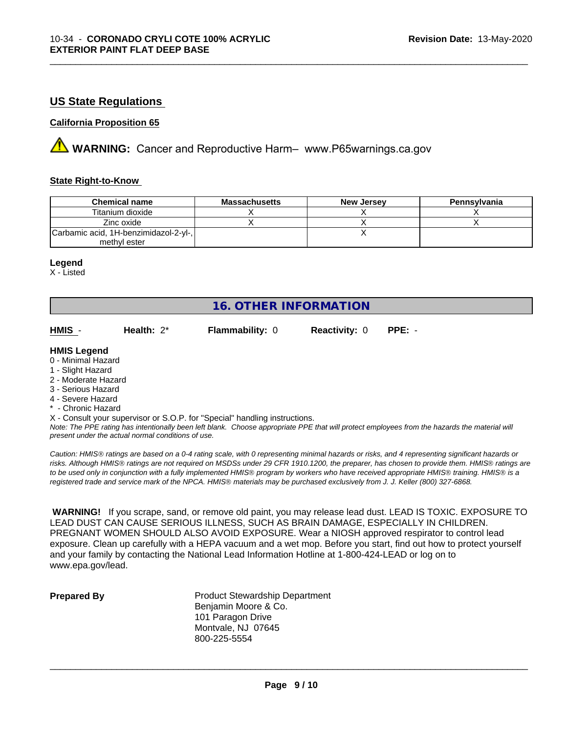# **US State Regulations**

# **California Proposition 65**

**AVIMARNING:** Cancer and Reproductive Harm– www.P65warnings.ca.gov

### **State Right-to-Know**

| <b>Chemical name</b>                  | <b>Massachusetts</b> | <b>New Jersey</b> | Pennsylvania |
|---------------------------------------|----------------------|-------------------|--------------|
| Titanium dioxide                      |                      |                   |              |
| Zinc oxide                            |                      |                   |              |
| Carbamic acid, 1H-benzimidazol-2-yl-, |                      |                   |              |
| methyl ester                          |                      |                   |              |

\_\_\_\_\_\_\_\_\_\_\_\_\_\_\_\_\_\_\_\_\_\_\_\_\_\_\_\_\_\_\_\_\_\_\_\_\_\_\_\_\_\_\_\_\_\_\_\_\_\_\_\_\_\_\_\_\_\_\_\_\_\_\_\_\_\_\_\_\_\_\_\_\_\_\_\_\_\_\_\_\_\_\_\_\_\_\_\_\_\_\_\_\_

#### **Legend**

X - Listed

# **16. OTHER INFORMATION**

| HMIS - | Health: $2^*$ | <b>Flammability: 0</b> | <b>Reactivity: 0 PPE: -</b> |  |
|--------|---------------|------------------------|-----------------------------|--|
|        |               |                        |                             |  |

#### **HMIS Legend**

- 0 Minimal Hazard
- 1 Slight Hazard
- 2 Moderate Hazard
- 3 Serious Hazard
- 4 Severe Hazard
- \* Chronic Hazard
- X Consult your supervisor or S.O.P. for "Special" handling instructions.

*Note: The PPE rating has intentionally been left blank. Choose appropriate PPE that will protect employees from the hazards the material will present under the actual normal conditions of use.*

*Caution: HMISÒ ratings are based on a 0-4 rating scale, with 0 representing minimal hazards or risks, and 4 representing significant hazards or risks. Although HMISÒ ratings are not required on MSDSs under 29 CFR 1910.1200, the preparer, has chosen to provide them. HMISÒ ratings are to be used only in conjunction with a fully implemented HMISÒ program by workers who have received appropriate HMISÒ training. HMISÒ is a registered trade and service mark of the NPCA. HMISÒ materials may be purchased exclusively from J. J. Keller (800) 327-6868.*

 **WARNING!** If you scrape, sand, or remove old paint, you may release lead dust. LEAD IS TOXIC. EXPOSURE TO LEAD DUST CAN CAUSE SERIOUS ILLNESS, SUCH AS BRAIN DAMAGE, ESPECIALLY IN CHILDREN. PREGNANT WOMEN SHOULD ALSO AVOID EXPOSURE.Wear a NIOSH approved respirator to control lead exposure. Clean up carefully with a HEPA vacuum and a wet mop. Before you start, find out how to protect yourself and your family by contacting the National Lead Information Hotline at 1-800-424-LEAD or log on to www.epa.gov/lead.

**Prepared By** Product Stewardship Department Benjamin Moore & Co. 101 Paragon Drive Montvale, NJ 07645 800-225-5554